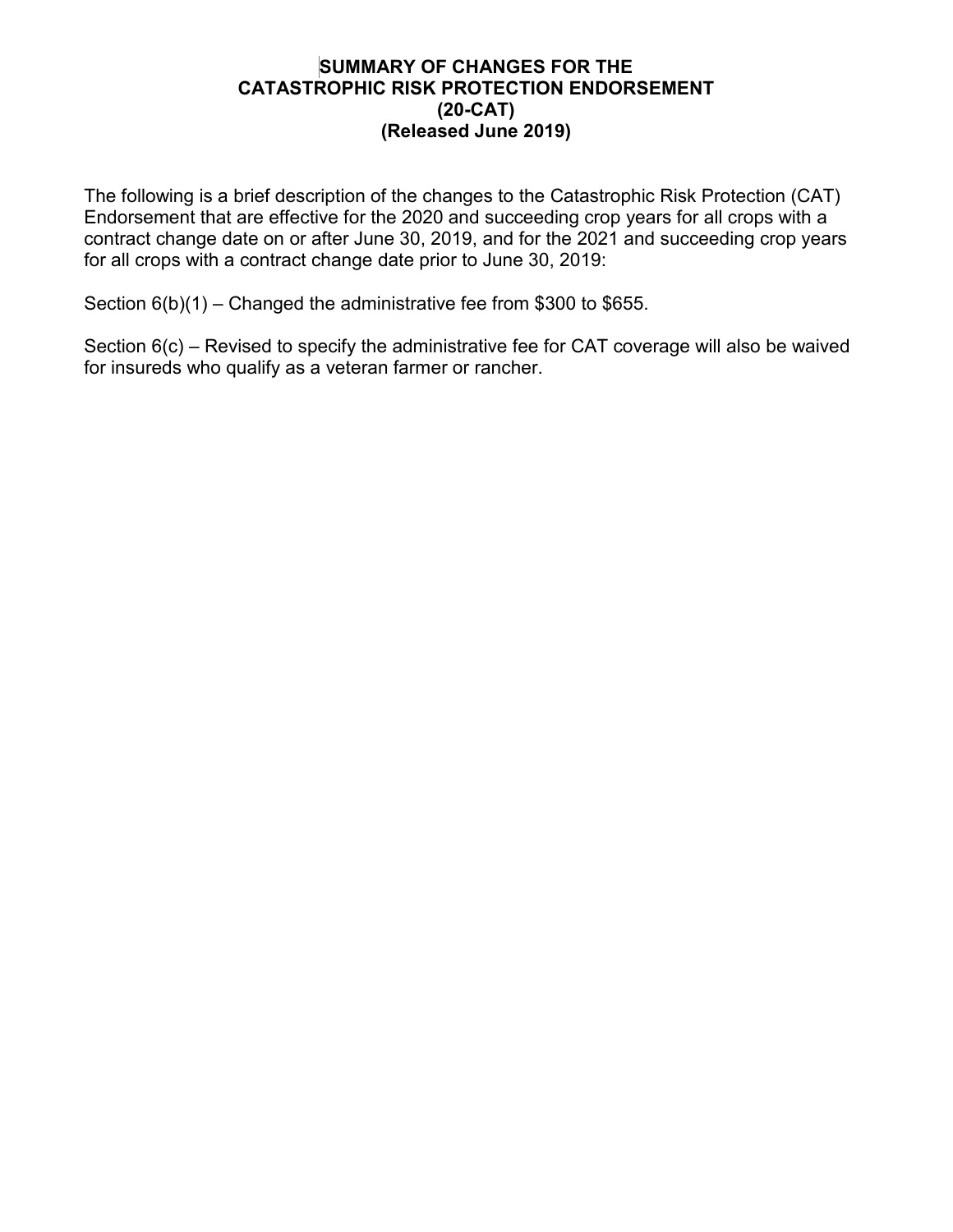# **SUMMARY OF CHANGES FOR THE CATASTROPHIC RISK PROTECTION ENDORSEMENT (20-CAT) (Released June 2019)**

The following is a brief description of the changes to the Catastrophic Risk Protection (CAT) Endorsement that are effective for the 2020 and succeeding crop years for all crops with a contract change date on or after June 30, 2019, and for the 2021 and succeeding crop years for all crops with a contract change date prior to June 30, 2019:

Section 6(b)(1) – Changed the administrative fee from \$300 to \$655.

Section 6(c) – Revised to specify the administrative fee for CAT coverage will also be waived for insureds who qualify as a veteran farmer or rancher.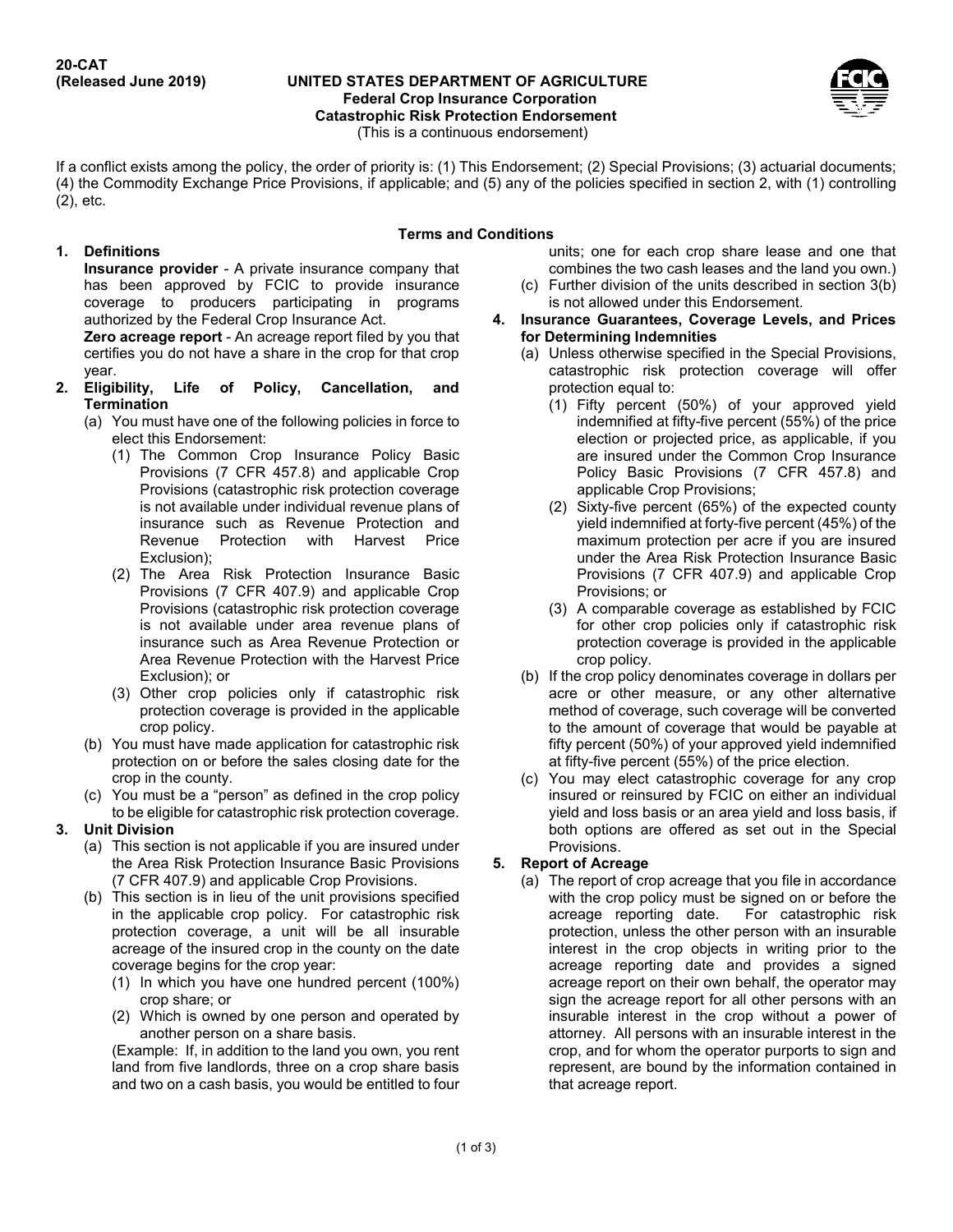#### **UNITED STATES DEPARTMENT OF AGRICULTURE Federal Crop Insurance Corporation Catastrophic Risk Protection Endorsement** (This is a continuous endorsement)



If a conflict exists among the policy, the order of priority is: (1) This Endorsement; (2) Special Provisions; (3) actuarial documents; (4) the Commodity Exchange Price Provisions, if applicable; and (5) any of the policies specified in section 2, with (1) controlling (2), etc.

## **1. Definitions**

### **Terms and Conditions**

**Insurance provider** - A private insurance company that has been approved by FCIC to provide insurance coverage to producers participating in programs authorized by the Federal Crop Insurance Act.

**Zero acreage report** - An acreage report filed by you that certifies you do not have a share in the crop for that crop year.

- **2. Eligibility, Life of Policy, Cancellation, and Termination**
	- (a) You must have one of the following policies in force to elect this Endorsement:
		- (1) The Common Crop Insurance Policy Basic Provisions (7 CFR 457.8) and applicable Crop Provisions (catastrophic risk protection coverage is not available under individual revenue plans of insurance such as Revenue Protection and Revenue Protection with Harvest Price Exclusion);
		- (2) The Area Risk Protection Insurance Basic Provisions (7 CFR 407.9) and applicable Crop Provisions (catastrophic risk protection coverage is not available under area revenue plans of insurance such as Area Revenue Protection or Area Revenue Protection with the Harvest Price Exclusion); or
		- (3) Other crop policies only if catastrophic risk protection coverage is provided in the applicable crop policy.
	- (b) You must have made application for catastrophic risk protection on or before the sales closing date for the crop in the county.
	- (c) You must be a "person" as defined in the crop policy to be eligible for catastrophic risk protection coverage.

## **3. Unit Division**

- (a) This section is not applicable if you are insured under the Area Risk Protection Insurance Basic Provisions (7 CFR 407.9) and applicable Crop Provisions.
- (b) This section is in lieu of the unit provisions specified in the applicable crop policy. For catastrophic risk protection coverage, a unit will be all insurable acreage of the insured crop in the county on the date coverage begins for the crop year:
	- (1) In which you have one hundred percent (100%) crop share; or
	- (2) Which is owned by one person and operated by another person on a share basis.

(Example: If, in addition to the land you own, you rent land from five landlords, three on a crop share basis and two on a cash basis, you would be entitled to four units; one for each crop share lease and one that combines the two cash leases and the land you own.)

- (c) Further division of the units described in section 3(b) is not allowed under this Endorsement.
- **4. Insurance Guarantees, Coverage Levels, and Prices for Determining Indemnities**
	- (a) Unless otherwise specified in the Special Provisions, catastrophic risk protection coverage will offer protection equal to:
		- (1) Fifty percent (50%) of your approved yield indemnified at fifty-five percent (55%) of the price election or projected price, as applicable, if you are insured under the Common Crop Insurance Policy Basic Provisions (7 CFR 457.8) and applicable Crop Provisions;
		- (2) Sixty-five percent (65%) of the expected county yield indemnified at forty-five percent (45%) of the maximum protection per acre if you are insured under the Area Risk Protection Insurance Basic Provisions (7 CFR 407.9) and applicable Crop Provisions; or
		- (3) A comparable coverage as established by FCIC for other crop policies only if catastrophic risk protection coverage is provided in the applicable crop policy.
	- (b) If the crop policy denominates coverage in dollars per acre or other measure, or any other alternative method of coverage, such coverage will be converted to the amount of coverage that would be payable at fifty percent (50%) of your approved yield indemnified at fifty-five percent (55%) of the price election.
	- (c) You may elect catastrophic coverage for any crop insured or reinsured by FCIC on either an individual yield and loss basis or an area yield and loss basis, if both options are offered as set out in the Special Provisions.

## **5. Report of Acreage**

(a) The report of crop acreage that you file in accordance with the crop policy must be signed on or before the acreage reporting date. For catastrophic risk protection, unless the other person with an insurable interest in the crop objects in writing prior to the acreage reporting date and provides a signed acreage report on their own behalf, the operator may sign the acreage report for all other persons with an insurable interest in the crop without a power of attorney. All persons with an insurable interest in the crop, and for whom the operator purports to sign and represent, are bound by the information contained in that acreage report.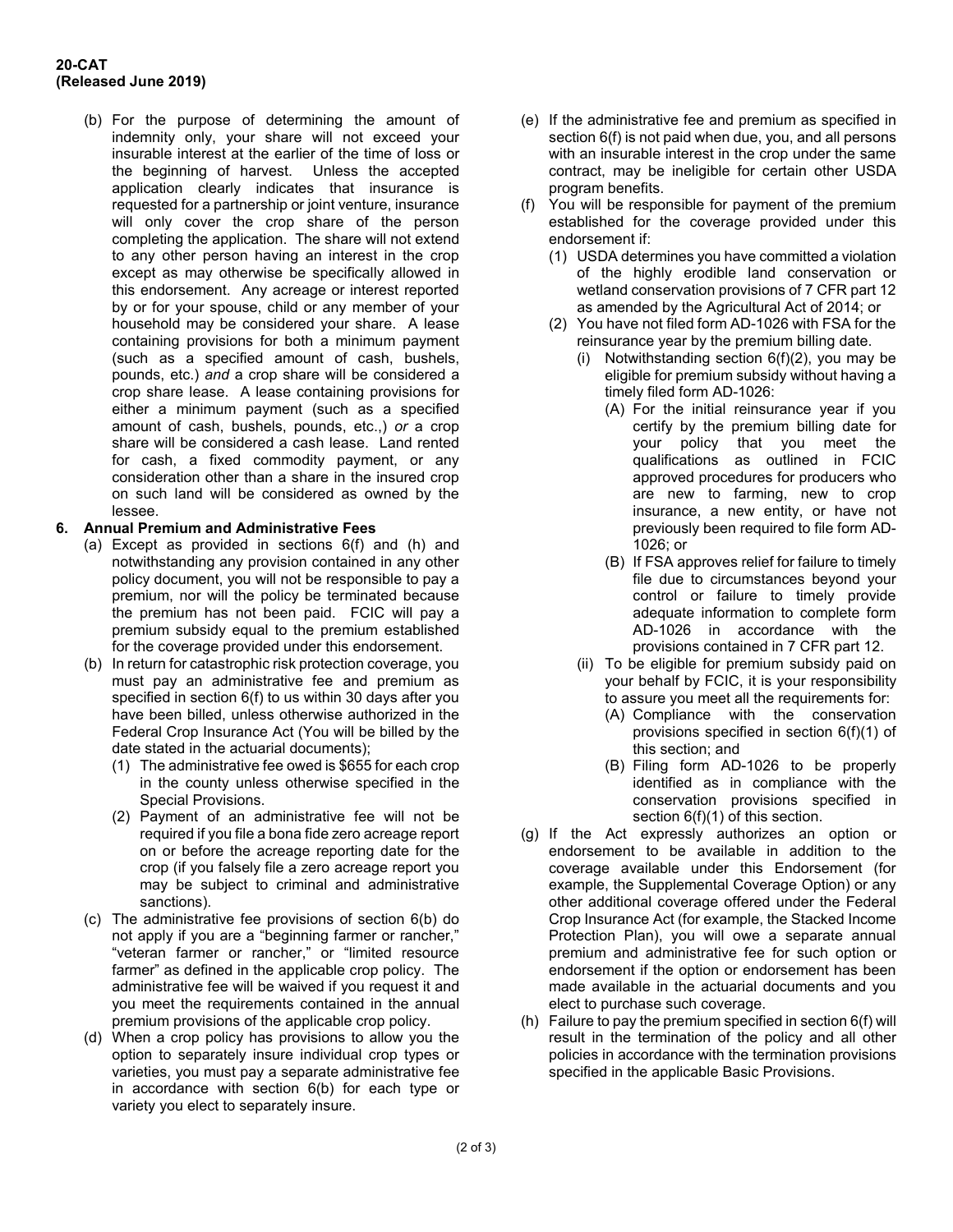#### **20-CAT (Released June 2019)**

(b) For the purpose of determining the amount of indemnity only, your share will not exceed your insurable interest at the earlier of the time of loss or the beginning of harvest. Unless the accepted application clearly indicates that insurance is requested for a partnership or joint venture, insurance will only cover the crop share of the person completing the application. The share will not extend to any other person having an interest in the crop except as may otherwise be specifically allowed in this endorsement. Any acreage or interest reported by or for your spouse, child or any member of your household may be considered your share. A lease containing provisions for both a minimum payment (such as a specified amount of cash, bushels, pounds, etc.) *and* a crop share will be considered a crop share lease. A lease containing provisions for either a minimum payment (such as a specified amount of cash, bushels, pounds, etc.,) *or* a crop share will be considered a cash lease. Land rented for cash, a fixed commodity payment, or any consideration other than a share in the insured crop on such land will be considered as owned by the lessee.

### **6. Annual Premium and Administrative Fees**

- (a) Except as provided in sections 6(f) and (h) and notwithstanding any provision contained in any other policy document, you will not be responsible to pay a premium, nor will the policy be terminated because the premium has not been paid. FCIC will pay a premium subsidy equal to the premium established for the coverage provided under this endorsement.
- (b) In return for catastrophic risk protection coverage, you must pay an administrative fee and premium as specified in section 6(f) to us within 30 days after you have been billed, unless otherwise authorized in the Federal Crop Insurance Act (You will be billed by the date stated in the actuarial documents);
	- (1) The administrative fee owed is \$655 for each crop in the county unless otherwise specified in the Special Provisions.
	- (2) Payment of an administrative fee will not be required if you file a bona fide zero acreage report on or before the acreage reporting date for the crop (if you falsely file a zero acreage report you may be subject to criminal and administrative sanctions).
- (c) The administrative fee provisions of section 6(b) do not apply if you are a "beginning farmer or rancher," "veteran farmer or rancher," or "limited resource farmer" as defined in the applicable crop policy. The administrative fee will be waived if you request it and you meet the requirements contained in the annual premium provisions of the applicable crop policy.
- (d) When a crop policy has provisions to allow you the option to separately insure individual crop types or varieties, you must pay a separate administrative fee in accordance with section 6(b) for each type or variety you elect to separately insure.
- (e) If the administrative fee and premium as specified in section 6(f) is not paid when due, you, and all persons with an insurable interest in the crop under the same contract, may be ineligible for certain other USDA program benefits.
- (f) You will be responsible for payment of the premium established for the coverage provided under this endorsement if:
	- (1) USDA determines you have committed a violation of the highly erodible land conservation or wetland conservation provisions of 7 CFR part 12 as amended by the Agricultural Act of 2014; or
	- (2) You have not filed form AD-1026 with FSA for the reinsurance year by the premium billing date.
		- (i) Notwithstanding section 6(f)(2), you may be eligible for premium subsidy without having a timely filed form AD-1026:
			- (A) For the initial reinsurance year if you certify by the premium billing date for your policy that you meet the qualifications as outlined in FCIC approved procedures for producers who are new to farming, new to crop insurance, a new entity, or have not previously been required to file form AD-1026; or
			- (B) If FSA approves relief for failure to timely file due to circumstances beyond your control or failure to timely provide adequate information to complete form AD-1026 in accordance with the provisions contained in 7 CFR part 12.
		- (ii) To be eligible for premium subsidy paid on your behalf by FCIC, it is your responsibility to assure you meet all the requirements for:
			- (A) Compliance with the conservation provisions specified in section 6(f)(1) of this section; and
			- (B) Filing form AD-1026 to be properly identified as in compliance with the conservation provisions specified in section  $6(f)(1)$  of this section.
- (g) If the Act expressly authorizes an option or endorsement to be available in addition to the coverage available under this Endorsement (for example, the Supplemental Coverage Option) or any other additional coverage offered under the Federal Crop Insurance Act (for example, the Stacked Income Protection Plan), you will owe a separate annual premium and administrative fee for such option or endorsement if the option or endorsement has been made available in the actuarial documents and you elect to purchase such coverage.
- (h) Failure to pay the premium specified in section 6(f) will result in the termination of the policy and all other policies in accordance with the termination provisions specified in the applicable Basic Provisions.